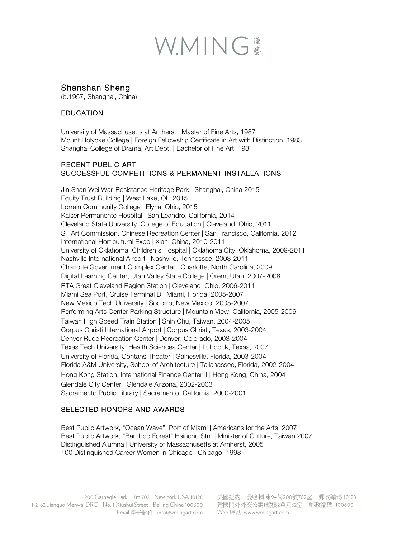# WMING

# Shanshan Sheng

(b.1957, Shanghai, China)

### **EDUCATION**

University of Massachusetts at Amherst | Master of Fine Arts, 1987 Mount Holyoke College | Foreign Fellowship Certificate in Art with Distinction, 1983 Shanghai College of Drama, Art Dept. | Bachelor of Fine Art, 1981

#### RECENT PUBLIC ART SUCCESSFUL COMPETITIONS & PERMANENT INSTALLATIONS

Jin Shan Wei War-Resistance Heritage Park | Shanghai, China 2015 Equity Trust Building | West Lake, OH 2015 Lorrain Community College | Elyria, Ohio, 2015 Kaiser Permanente Hospital | San Leandro, California, 2014 Cleveland State University, College of Education | Cleveland, Ohio, 2011 SF Art Commission, Chinese Recreation Center | San Francisco, California, 2012 International Horticultural Expo | Xian, China, 2010-2011 University of Oklahoma, Children's Hospital | Oklahoma City, Oklahoma, 2009-2011 Nashville International Airport | Nashville, Tennessee, 2008-2011 Charlotte Government Complex Center | Charlotte, North Carolina, 2009 Digital Learning Center, Utah Valley State College | Orem, Utah, 2007-2008 RTA Great Cleveland Region Station | Cleveland, Ohio, 2006-2011 Miami Sea Port, Cruise Terminal D | Miami, Florida, 2005-2007 New Mexico Tech University | Socorro, New Mexico, 2005-2007 Performing Arts Center Parking Structure | Mountain View, California, 2005-2006 Taiwan High Speed Train Station | Shin Chu, Taiwan, 2004-2005 Corpus Christi International Airport | Corpus Christi, Texas, 2003-2004 Denver Rude Recreation Center | Denver, Colorado, 2003-2004 Texas Tech University, Health Sciences Center | Lubbock, Texas, 2007 University of Florida, Contans Theater | Gainesville, Florida, 2003-2004 Florida A&M University, School of Architecture | Tallahassee, Florida, 2002-2004 Hong Kong Station, International Finance Center II | Hong Kong, China, 2004 Glendale City Center | Glendale Arizona, 2002-2003 Sacramento Public Library | Sacramento, California, 2000-2001

### SELECTED HONORS AND AWARDS

Best Public Artwork, "Ocean Wave", Port of Miami | Americans for the Arts, 2007 Best Public Artwork, "Bamboo Forest" Hsinchu Stn. | Minister of Culture, Taiwan 2007 Distinguished Alumna | University of Massachusetts at Amherst, 2005 100 Distinguished Career Women in Chicago | Chicago, 1998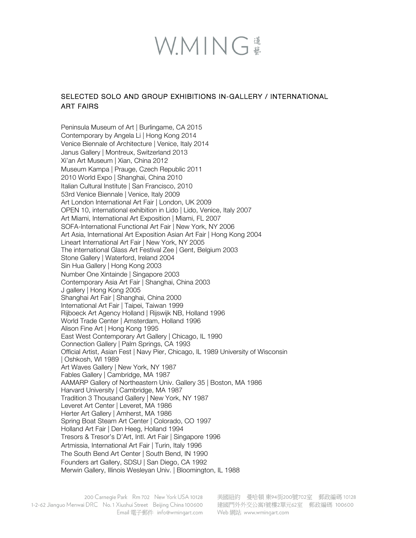# WMING

## SELECTED SOLO AND GROUP EXHIBITIONS IN-GALLERY / INTERNATIONAL ART FAIRS

Peninsula Museum of Art | Burlingame, CA 2015 Contemporary by Angela Li | Hong Kong 2014 Venice Biennale of Architecture | Venice, Italy 2014 Janus Gallery | Montreux, Switzerland 2013 Xi'an Art Museum | Xian, China 2012 Museum Kampa | Prauge, Czech Republic 2011 2010 World Expo | Shanghai, China 2010 Italian Cultural Institute | San Francisco, 2010 53rd Venice Biennale | Venice, Italy 2009 Art London International Art Fair | London, UK 2009 OPEN 10, international exhibition in Lido | Lido, Venice, Italy 2007 Art Miami, International Art Exposition | Miami, FL 2007 SOFA-International Functional Art Fair | New York, NY 2006 Art Asia, International Art Exposition Asian Art Fair | Hong Kong 2004 Lineart International Art Fair | New York, NY 2005 The international Glass Art Festival Zee | Gent, Belgium 2003 Stone Gallery | Waterford, Ireland 2004 Sin Hua Gallery | Hong Kong 2003 Number One Xintainde | Singapore 2003 Contemporary Asia Art Fair | Shanghai, China 2003 J gallery | Hong Kong 2005 Shanghai Art Fair | Shanghai, China 2000 International Art Fair | Taipei, Taiwan 1999 Rijboeck Art Agency Holland | Rijswijk NB, Holland 1996 World Trade Center | Amsterdam, Holland 1996 Alison Fine Art | Hong Kong 1995 East West Contemporary Art Gallery | Chicago, IL 1990 Connection Gallery | Palm Springs, CA 1993 Official Artist, Asian Fest | Navy Pier, Chicago, IL 1989 University of Wisconsin | Oshkosh, WI 1989 Art Waves Gallery | New York, NY 1987 Fables Gallery | Cambridge, MA 1987 AAMARP Gallery of Northeastern Univ. Gallery 35 | Boston, MA 1986 Harvard University | Cambridge, MA 1987 Tradition 3 Thousand Gallery | New York, NY 1987 Leveret Art Center | Leveret, MA 1986 Herter Art Gallery | Amherst, MA 1986 Spring Boat Steam Art Center | Colorado, CO 1997 Holland Art Fair | Den Heeg, Holland 1994 Tresors & Tresor's D'Art, Intl. Art Fair | Singapore 1996 Artmissia, International Art Fair | Turin, Italy 1996 The South Bend Art Center | South Bend, IN 1990 Founders art Gallery, SDSU | San Diego, CA 1992 Merwin Gallery, Illinois Wesleyan Univ. | Bloomington, IL 1988